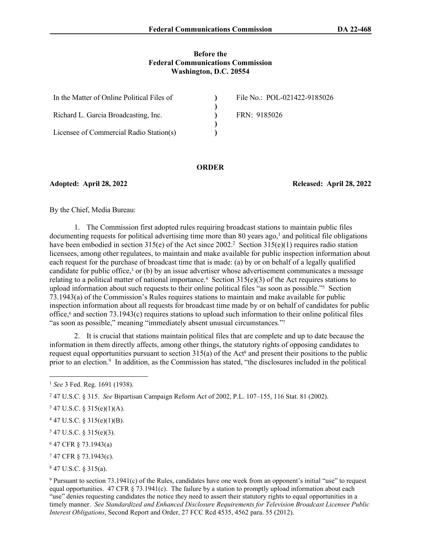#### **Before the Federal Communications Commission Washington, D.C. 20554**

| In the Matter of Online Political Files of | File No.: POL-021422-9185026 |
|--------------------------------------------|------------------------------|
|                                            |                              |
| Richard L. Garcia Broadcasting, Inc.       | FRN: 9185026                 |
|                                            |                              |
| Licensee of Commercial Radio Station(s)    |                              |

#### **ORDER**

**Adopted: April 28, 2022 Released: April 28, 2022**

By the Chief, Media Bureau:

1. The Commission first adopted rules requiring broadcast stations to maintain public files  $d$ ocumenting requests for political advertising time more than 80 years ago,<sup>1</sup> and political file obligations have been embodied in section 315(e) of the Act since 2002.<sup>2</sup> Section 315(e)(1) requires radio station licensees, among other regulatees, to maintain and make available for public inspection information about each request for the purchase of broadcast time that is made: (a) by or on behalf of a legally qualified candidate for public office,<sup>3</sup> or (b) by an issue advertiser whose advertisement communicates a message relating to a political matter of national importance.<sup>4</sup> Section  $315(e)(3)$  of the Act requires stations to upload information about such requests to their online political files "as soon as possible."<sup>5</sup> Section 73.1943(a) of the Commission's Rules requires stations to maintain and make available for public inspection information about all requests for broadcast time made by or on behalf of candidates for public office,<sup>6</sup> and section 73.1943(c) requires stations to upload such information to their online political files "as soon as possible," meaning "immediately absent unusual circumstances."<sup>7</sup>

2. It is crucial that stations maintain political files that are complete and up to date because the information in them directly affects, among other things, the statutory rights of opposing candidates to request equal opportunities pursuant to section  $315(a)$  of the Act<sup>8</sup> and present their positions to the public prior to an election.<sup>9</sup> In addition, as the Commission has stated, "the disclosures included in the political

 $547$  U.S.C. § 315(e)(3).

6 47 CFR § 73.1943(a)

7 47 CFR § 73.1943(c).

8 47 U.S.C. § 315(a).

<sup>1</sup> *See* 3 Fed. Reg. 1691 (1938).

<sup>2</sup> 47 U.S.C. § 315. *See* Bipartisan Campaign Reform Act of 2002, P.L. 107–155, 116 Stat. 81 (2002).

 $347$  U.S.C. § 315(e)(1)(A).

 $447$  U.S.C. § 315(e)(1)(B).

<sup>9</sup> Pursuant to section 73.1941(c) of the Rules, candidates have one week from an opponent's initial "use" to request equal opportunities. 47 CFR  $\S$  73.1941(c). The failure by a station to promptly upload information about each "use" denies requesting candidates the notice they need to assert their statutory rights to equal opportunities in a timely manner. *See Standardized and Enhanced Disclosure Requirements for Television Broadcast Licensee Public Interest Obligations*, Second Report and Order, 27 FCC Rcd 4535, 4562 para. 55 (2012).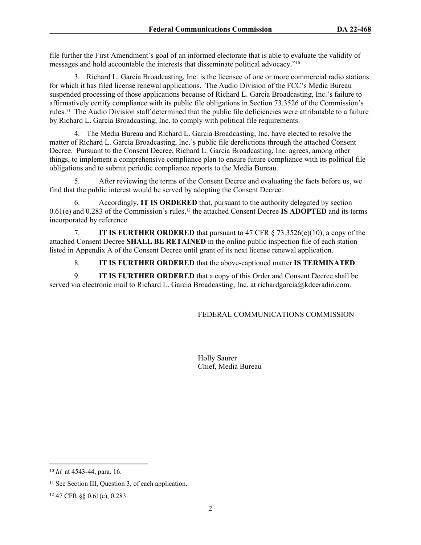file further the First Amendment's goal of an informed electorate that is able to evaluate the validity of messages and hold accountable the interests that disseminate political advocacy."<sup>10</sup>

3. Richard L. Garcia Broadcasting, Inc. is the licensee of one or more commercial radio stations for which it has filed license renewal applications. The Audio Division of the FCC's Media Bureau suspended processing of those applications because of Richard L. Garcia Broadcasting, Inc.'s failure to affirmatively certify compliance with its public file obligations in Section 73.3526 of the Commission's rules.11 The Audio Division staff determined that the public file deficiencies were attributable to a failure by Richard L. Garcia Broadcasting, Inc. to comply with political file requirements.

4. The Media Bureau and Richard L. Garcia Broadcasting, Inc. have elected to resolve the matter of Richard L. Garcia Broadcasting, Inc.'s public file derelictions through the attached Consent Decree. Pursuant to the Consent Decree, Richard L. Garcia Broadcasting, Inc. agrees, among other things, to implement a comprehensive compliance plan to ensure future compliance with its political file obligations and to submit periodic compliance reports to the Media Bureau.

5. After reviewing the terms of the Consent Decree and evaluating the facts before us, we find that the public interest would be served by adopting the Consent Decree.

6. Accordingly, **IT IS ORDERED** that, pursuant to the authority delegated by section 0.61(e) and 0.283 of the Commission's rules,12 the attached Consent Decree **IS ADOPTED** and its terms incorporated by reference.

7. **IT IS FURTHER ORDERED** that pursuant to 47 CFR § 73.3526(e)(10), a copy of the attached Consent Decree **SHALL BE RETAINED** in the online public inspection file of each station listed in Appendix A of the Consent Decree until grant of its next license renewal application.

8. **IT IS FURTHER ORDERED** that the above-captioned matter **IS TERMINATED**.

9. **IT IS FURTHER ORDERED** that a copy of this Order and Consent Decree shall be served via electronic mail to Richard L. Garcia Broadcasting, Inc. at richardgarcia@kdceradio.com.

# FEDERAL COMMUNICATIONS COMMISSION

Holly Saurer Chief, Media Bureau

<sup>10</sup> *Id.* at 4543-44, para. 16.

<sup>&</sup>lt;sup>11</sup> See Section III, Question 3, of each application.

<sup>12</sup> 47 CFR §§ 0.61(e), 0.283.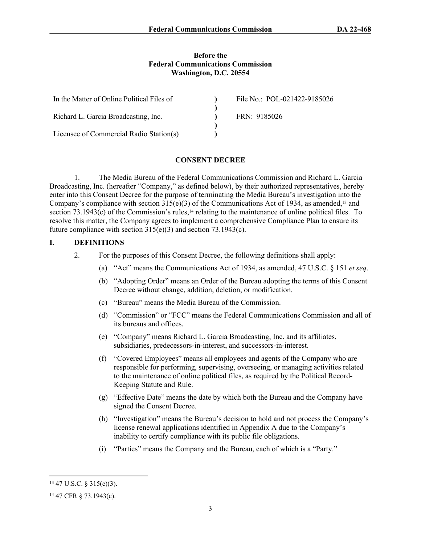#### **Before the Federal Communications Commission Washington, D.C. 20554**

| In the Matter of Online Political Files of | File No.: POL-021422-9185026 |
|--------------------------------------------|------------------------------|
|                                            |                              |
| Richard L. Garcia Broadcasting, Inc.       | FRN: 9185026                 |
|                                            |                              |
| Licensee of Commercial Radio Station(s)    |                              |

#### **CONSENT DECREE**

1. The Media Bureau of the Federal Communications Commission and Richard L. Garcia Broadcasting, Inc. (hereafter "Company," as defined below), by their authorized representatives, hereby enter into this Consent Decree for the purpose of terminating the Media Bureau's investigation into the Company's compliance with section 315(e)(3) of the Communications Act of 1934, as amended,<sup>13</sup> and section  $73.1943(c)$  of the Commission's rules,<sup>14</sup> relating to the maintenance of online political files. To resolve this matter, the Company agrees to implement a comprehensive Compliance Plan to ensure its future compliance with section 315(e)(3) and section 73.1943(c).

### **I. DEFINITIONS**

- 2. For the purposes of this Consent Decree, the following definitions shall apply:
	- (a) "Act" means the Communications Act of 1934, as amended, 47 U.S.C. § 151 *et seq*.
	- (b) "Adopting Order" means an Order of the Bureau adopting the terms of this Consent Decree without change, addition, deletion, or modification.
	- (c) "Bureau" means the Media Bureau of the Commission.
	- (d) "Commission" or "FCC" means the Federal Communications Commission and all of its bureaus and offices.
	- (e) "Company" means Richard L. Garcia Broadcasting, Inc. and its affiliates, subsidiaries, predecessors-in-interest, and successors-in-interest.
	- (f) "Covered Employees" means all employees and agents of the Company who are responsible for performing, supervising, overseeing, or managing activities related to the maintenance of online political files, as required by the Political Record-Keeping Statute and Rule.
	- (g) "Effective Date" means the date by which both the Bureau and the Company have signed the Consent Decree.
	- (h) "Investigation" means the Bureau's decision to hold and not process the Company's license renewal applications identified in Appendix A due to the Company's inability to certify compliance with its public file obligations.
	- (i) "Parties" means the Company and the Bureau, each of which is a "Party."

<sup>13</sup> 47 U.S.C. § 315(e)(3).

<sup>14</sup> 47 CFR § 73.1943(c).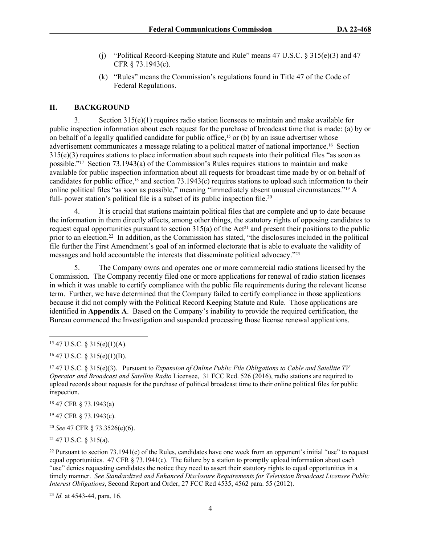- (j) "Political Record-Keeping Statute and Rule" means 47 U.S.C. § 315(e)(3) and 47 CFR § 73.1943(c).
- (k) "Rules" means the Commission's regulations found in Title 47 of the Code of Federal Regulations.

### **II. BACKGROUND**

3. Section 315(e)(1) requires radio station licensees to maintain and make available for public inspection information about each request for the purchase of broadcast time that is made: (a) by or on behalf of a legally qualified candidate for public office,<sup>15</sup> or (b) by an issue advertiser whose advertisement communicates a message relating to a political matter of national importance.16 Section 315(e)(3) requires stations to place information about such requests into their political files "as soon as possible."17 Section 73.1943(a) of the Commission's Rules requires stations to maintain and make available for public inspection information about all requests for broadcast time made by or on behalf of candidates for public office,18 and section 73.1943(c) requires stations to upload such information to their online political files "as soon as possible," meaning "immediately absent unusual circumstances."19 A full- power station's political file is a subset of its public inspection file.<sup>20</sup>

4. It is crucial that stations maintain political files that are complete and up to date because the information in them directly affects, among other things, the statutory rights of opposing candidates to request equal opportunities pursuant to section  $315(a)$  of the Act<sup>21</sup> and present their positions to the public prior to an election.<sup>22</sup> In addition, as the Commission has stated, "the disclosures included in the political file further the First Amendment's goal of an informed electorate that is able to evaluate the validity of messages and hold accountable the interests that disseminate political advocacy."<sup>23</sup>

5. The Company owns and operates one or more commercial radio stations licensed by the Commission. The Company recently filed one or more applications for renewal of radio station licenses in which it was unable to certify compliance with the public file requirements during the relevant license term. Further, we have determined that the Company failed to certify compliance in those applications because it did not comply with the Political Record Keeping Statute and Rule. Those applications are identified in **Appendix A**. Based on the Company's inability to provide the required certification, the Bureau commenced the Investigation and suspended processing those license renewal applications.

<sup>18</sup> 47 CFR § 73.1943(a)

<sup>19</sup> 47 CFR § 73.1943(c).

<sup>20</sup> *See* 47 CFR § 73.3526(e)(6).

<sup>21</sup> 47 U.S.C. § 315(a).

<sup>22</sup> Pursuant to section  $73.1941(c)$  of the Rules, candidates have one week from an opponent's initial "use" to request equal opportunities. 47 CFR  $\S$  73.1941(c). The failure by a station to promptly upload information about each "use" denies requesting candidates the notice they need to assert their statutory rights to equal opportunities in a timely manner. *See Standardized and Enhanced Disclosure Requirements for Television Broadcast Licensee Public Interest Obligations*, Second Report and Order, 27 FCC Rcd 4535, 4562 para. 55 (2012).

<sup>23</sup> *Id.* at 4543-44, para. 16.

<sup>15</sup> 47 U.S.C. § 315(e)(1)(A).

 $16$  47 U.S.C. § 315(e)(1)(B).

<sup>17</sup> 47 U.S.C. § 315(e)(3). Pursuant to *Expansion of Online Public File Obligations to Cable and Satellite TV Operator and Broadcast and Satellite Radio* Licensee, 31 FCC Rcd. 526 (2016), radio stations are required to upload records about requests for the purchase of political broadcast time to their online political files for public inspection.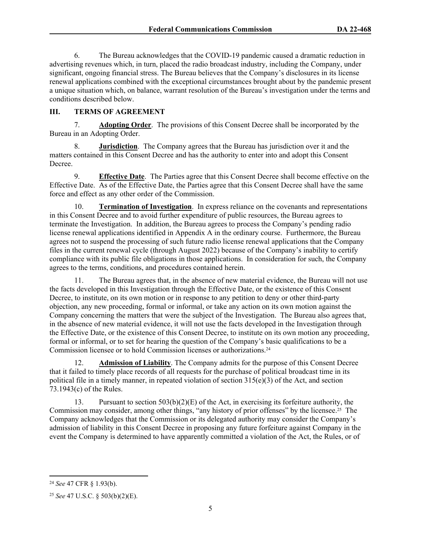6. The Bureau acknowledges that the COVID-19 pandemic caused a dramatic reduction in advertising revenues which, in turn, placed the radio broadcast industry, including the Company, under significant, ongoing financial stress. The Bureau believes that the Company's disclosures in its license renewal applications combined with the exceptional circumstances brought about by the pandemic present a unique situation which, on balance, warrant resolution of the Bureau's investigation under the terms and conditions described below.

## **III. TERMS OF AGREEMENT**

7. **Adopting Order**.The provisions of this Consent Decree shall be incorporated by the Bureau in an Adopting Order.

8. **Jurisdiction**. The Company agrees that the Bureau has jurisdiction over it and the matters contained in this Consent Decree and has the authority to enter into and adopt this Consent Decree.

9. **Effective Date**. The Parties agree that this Consent Decree shall become effective on the Effective Date. As of the Effective Date, the Parties agree that this Consent Decree shall have the same force and effect as any other order of the Commission.

10. **Termination of Investigation**.In express reliance on the covenants and representations in this Consent Decree and to avoid further expenditure of public resources, the Bureau agrees to terminate the Investigation. In addition, the Bureau agrees to process the Company's pending radio license renewal applications identified in Appendix A in the ordinary course. Furthermore, the Bureau agrees not to suspend the processing of such future radio license renewal applications that the Company files in the current renewal cycle (through August 2022) because of the Company's inability to certify compliance with its public file obligations in those applications. In consideration for such, the Company agrees to the terms, conditions, and procedures contained herein.

11. The Bureau agrees that, in the absence of new material evidence, the Bureau will not use the facts developed in this Investigation through the Effective Date, or the existence of this Consent Decree, to institute, on its own motion or in response to any petition to deny or other third-party objection, any new proceeding, formal or informal, or take any action on its own motion against the Company concerning the matters that were the subject of the Investigation. The Bureau also agrees that, in the absence of new material evidence, it will not use the facts developed in the Investigation through the Effective Date, or the existence of this Consent Decree, to institute on its own motion any proceeding, formal or informal, or to set for hearing the question of the Company's basic qualifications to be a Commission licensee or to hold Commission licenses or authorizations.<sup>24</sup>

12. **Admission of Liability**. The Company admits for the purpose of this Consent Decree that it failed to timely place records of all requests for the purchase of political broadcast time in its political file in a timely manner, in repeated violation of section  $315(e)(3)$  of the Act, and section 73.1943(c) of the Rules.

13. Pursuant to section  $503(b)(2)(E)$  of the Act, in exercising its forfeiture authority, the Commission may consider, among other things, "any history of prior offenses" by the licensee.25 The Company acknowledges that the Commission or its delegated authority may consider the Company's admission of liability in this Consent Decree in proposing any future forfeiture against Company in the event the Company is determined to have apparently committed a violation of the Act, the Rules, or of

<sup>24</sup> *See* 47 CFR § 1.93(b).

<sup>25</sup> *See* 47 U.S.C. § 503(b)(2)(E).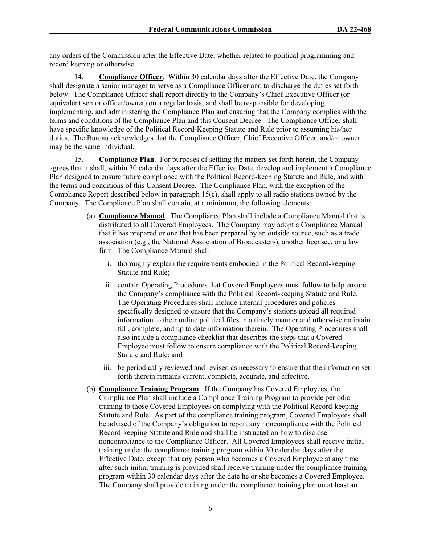any orders of the Commission after the Effective Date, whether related to political programming and record keeping or otherwise.

14. **Compliance Officer**. Within 30 calendar days after the Effective Date, the Company shall designate a senior manager to serve as a Compliance Officer and to discharge the duties set forth below. The Compliance Officer shall report directly to the Company's Chief Executive Officer (or equivalent senior officer/owner) on a regular basis, and shall be responsible for developing, implementing, and administering the Compliance Plan and ensuring that the Company complies with the terms and conditions of the Compliance Plan and this Consent Decree. The Compliance Officer shall have specific knowledge of the Political Record-Keeping Statute and Rule prior to assuming his/her duties. The Bureau acknowledges that the Compliance Officer, Chief Executive Officer, and/or owner may be the same individual.

15. **Compliance Plan**. For purposes of settling the matters set forth herein, the Company agrees that it shall, within 30 calendar days after the Effective Date, develop and implement a Compliance Plan designed to ensure future compliance with the Political Record-keeping Statute and Rule, and with the terms and conditions of this Consent Decree. The Compliance Plan, with the exception of the Compliance Report described below in paragraph 15(c), shall apply to all radio stations owned by the Company. The Compliance Plan shall contain, at a minimum, the following elements:

- (a) **Compliance Manual**. The Compliance Plan shall include a Compliance Manual that is distributed to all Covered Employees. The Company may adopt a Compliance Manual that it has prepared or one that has been prepared by an outside source, such as a trade association (e.g., the National Association of Broadcasters), another licensee, or a law firm. The Compliance Manual shall:
	- i. thoroughly explain the requirements embodied in the Political Record-keeping Statute and Rule;
	- ii. contain Operating Procedures that Covered Employees must follow to help ensure the Company's compliance with the Political Record-keeping Statute and Rule. The Operating Procedures shall include internal procedures and policies specifically designed to ensure that the Company's stations upload all required information to their online political files in a timely manner and otherwise maintain full, complete, and up to date information therein. The Operating Procedures shall also include a compliance checklist that describes the steps that a Covered Employee must follow to ensure compliance with the Political Record-keeping Statute and Rule; and
	- iii. be periodically reviewed and revised as necessary to ensure that the information set forth therein remains current, complete, accurate, and effective.
- (b) **Compliance Training Program**. If the Company has Covered Employees, the Compliance Plan shall include a Compliance Training Program to provide periodic training to those Covered Employees on complying with the Political Record-keeping Statute and Rule. As part of the compliance training program, Covered Employees shall be advised of the Company's obligation to report any noncompliance with the Political Record-keeping Statute and Rule and shall be instructed on how to disclose noncompliance to the Compliance Officer. All Covered Employees shall receive initial training under the compliance training program within 30 calendar days after the Effective Date, except that any person who becomes a Covered Employee at any time after such initial training is provided shall receive training under the compliance training program within 30 calendar days after the date he or she becomes a Covered Employee. The Company shall provide training under the compliance training plan on at least an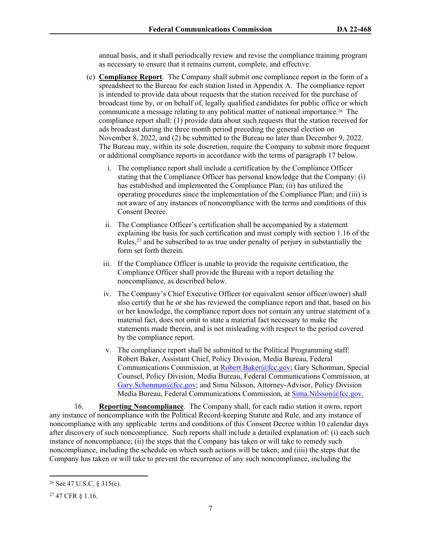annual basis, and it shall periodically review and revise the compliance training program as necessary to ensure that it remains current, complete, and effective.

- (c) **Compliance Report**. The Company shall submit one compliance report in the form of a spreadsheet to the Bureau for each station listed in Appendix A. The compliance report is intended to provide data about requests that the station received for the purchase of broadcast time by, or on behalf of, legally qualified candidates for public office or which communicate a message relating to any political matter of national importance.26 The compliance report shall: (1) provide data about such requests that the station received for ads broadcast during the three month period preceding the general election on November 8, 2022, and (2) be submitted to the Bureau no later than December 9, 2022. The Bureau may, within its sole discretion, require the Company to submit more frequent or additional compliance reports in accordance with the terms of paragraph 17 below.
	- i. The compliance report shall include a certification by the Compliance Officer stating that the Compliance Officer has personal knowledge that the Company: (i) has established and implemented the Compliance Plan; (ii) has utilized the operating procedures since the implementation of the Compliance Plan; and (iii) is not aware of any instances of noncompliance with the terms and conditions of this Consent Decree.
	- ii. The Compliance Officer's certification shall be accompanied by a statement explaining the basis for such certification and must comply with section 1.16 of the Rules,<sup>27</sup> and be subscribed to as true under penalty of perjury in substantially the form set forth therein.
	- iii. If the Compliance Officer is unable to provide the requisite certification, the Compliance Officer shall provide the Bureau with a report detailing the noncompliance, as described below.
	- iv. The Company's Chief Executive Officer (or equivalent senior officer/owner) shall also certify that he or she has reviewed the compliance report and that, based on his or her knowledge, the compliance report does not contain any untrue statement of a material fact, does not omit to state a material fact necessary to make the statements made therein, and is not misleading with respect to the period covered by the compliance report.
	- v. The compliance report shall be submitted to the Political Programming staff: Robert Baker, Assistant Chief, Policy Division, Media Bureau, Federal Communications Commission, at [Robert.Baker@fcc.gov](mailto:Robert.Baker@fcc.gov); Gary Schonman, Special Counsel, Policy Division, Media Bureau, Federal Communications Commission, at [Gary.Schonman@fcc.gov;](mailto:Gary.Schonman@fcc.gov) and Sima Nilsson, Attorney-Advisor, Policy Division Media Bureau, Federal Communications Commission, at [Sima.Nilsson@fcc.gov.](file://fccnet/data/Bureaus-Offices/MB/Policy/MB/Policy/POLITICAL%20PROGRAMMING/COMPLAINTS%20AND%20PETITIONS%20FOR%20RULEMAKING%20&%20DECLARATORY%20RULINGS/POLITICAL%20FILES%20-%20GROUP%20OWNERS/Consent%20Decrees/Entercom/Sima.Nilsson@fcc.gov.)

16. **Reporting Noncompliance**. The Company shall, for each radio station it owns, report any instance of noncompliance with the Political Record-keeping Statute and Rule, and any instance of noncompliance with any applicable terms and conditions of this Consent Decree within 10 calendar days after discovery of such noncompliance. Such reports shall include a detailed explanation of: (i) each such instance of noncompliance; (ii) the steps that the Company has taken or will take to remedy such noncompliance, including the schedule on which such actions will be taken; and (iiii) the steps that the Company has taken or will take to prevent the recurrence of any such noncompliance, including the

<sup>26</sup> See 47 U.S.C. § 315(e).

<sup>27</sup> 47 CFR § 1.16.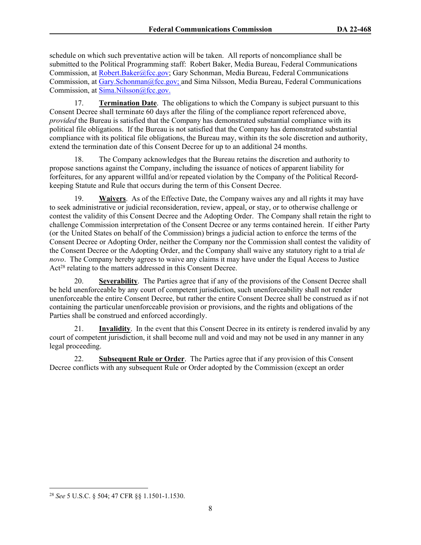schedule on which such preventative action will be taken. All reports of noncompliance shall be submitted to the Political Programming staff: Robert Baker, Media Bureau, Federal Communications Commission, at [Robert.Baker@fcc.gov;](mailto:Robert.Baker@fcc.gov) Gary Schonman, Media Bureau, Federal Communications Commission, at [Gary.Schonman@fcc.gov;](mailto:Gary.Schonman@fcc.gov) and Sima Nilsson, Media Bureau, Federal Communications Commission, at [Sima.Nilsson@fcc.gov.](file://fccnet/data/Bureaus-Offices/MB/Policy/MB/Policy/POLITICAL%20PROGRAMMING/COMPLAINTS%20AND%20PETITIONS%20FOR%20RULEMAKING%20&%20DECLARATORY%20RULINGS/POLITICAL%20FILES%20-%20GROUP%20OWNERS/Consent%20Decrees/Entercom/Sima.Nilsson@fcc.gov.)

17. **Termination Date**. The obligations to which the Company is subject pursuant to this Consent Decree shall terminate 60 days after the filing of the compliance report referenced above, *provided* the Bureau is satisfied that the Company has demonstrated substantial compliance with its political file obligations. If the Bureau is not satisfied that the Company has demonstrated substantial compliance with its political file obligations, the Bureau may, within its the sole discretion and authority, extend the termination date of this Consent Decree for up to an additional 24 months.

18. The Company acknowledges that the Bureau retains the discretion and authority to propose sanctions against the Company, including the issuance of notices of apparent liability for forfeitures, for any apparent willful and/or repeated violation by the Company of the Political Recordkeeping Statute and Rule that occurs during the term of this Consent Decree.

19. **Waivers**. As of the Effective Date, the Company waives any and all rights it may have to seek administrative or judicial reconsideration, review, appeal, or stay, or to otherwise challenge or contest the validity of this Consent Decree and the Adopting Order. The Company shall retain the right to challenge Commission interpretation of the Consent Decree or any terms contained herein. If either Party (or the United States on behalf of the Commission) brings a judicial action to enforce the terms of the Consent Decree or Adopting Order, neither the Company nor the Commission shall contest the validity of the Consent Decree or the Adopting Order, and the Company shall waive any statutory right to a trial *de novo*. The Company hereby agrees to waive any claims it may have under the Equal Access to Justice Act<sup>28</sup> relating to the matters addressed in this Consent Decree.

20. **Severability**. The Parties agree that if any of the provisions of the Consent Decree shall be held unenforceable by any court of competent jurisdiction, such unenforceability shall not render unenforceable the entire Consent Decree, but rather the entire Consent Decree shall be construed as if not containing the particular unenforceable provision or provisions, and the rights and obligations of the Parties shall be construed and enforced accordingly.

21. **Invalidity**. In the event that this Consent Decree in its entirety is rendered invalid by any court of competent jurisdiction, it shall become null and void and may not be used in any manner in any legal proceeding.

22. **Subsequent Rule or Order**. The Parties agree that if any provision of this Consent Decree conflicts with any subsequent Rule or Order adopted by the Commission (except an order

<sup>28</sup> *See* 5 U.S.C. § 504; 47 CFR §§ 1.1501-1.1530.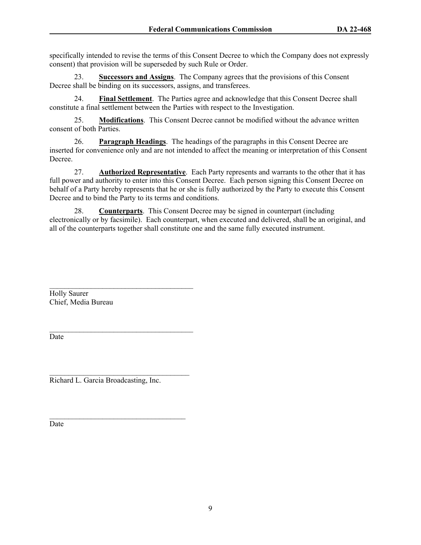specifically intended to revise the terms of this Consent Decree to which the Company does not expressly consent) that provision will be superseded by such Rule or Order.

23. **Successors and Assigns**.The Company agrees that the provisions of this Consent Decree shall be binding on its successors, assigns, and transferees.

24. **Final Settlement**. The Parties agree and acknowledge that this Consent Decree shall constitute a final settlement between the Parties with respect to the Investigation.

25. **Modifications**. This Consent Decree cannot be modified without the advance written consent of both Parties.

26. **Paragraph Headings**. The headings of the paragraphs in this Consent Decree are inserted for convenience only and are not intended to affect the meaning or interpretation of this Consent Decree.

27. **Authorized Representative**. Each Party represents and warrants to the other that it has full power and authority to enter into this Consent Decree. Each person signing this Consent Decree on behalf of a Party hereby represents that he or she is fully authorized by the Party to execute this Consent Decree and to bind the Party to its terms and conditions.

28. **Counterparts**. This Consent Decree may be signed in counterpart (including electronically or by facsimile). Each counterpart, when executed and delivered, shall be an original, and all of the counterparts together shall constitute one and the same fully executed instrument.

 $\mathcal{L}_\text{max}$ Holly Saurer Chief, Media Bureau

Date

 $\mathcal{L}_\text{max}$ Richard L. Garcia Broadcasting, Inc.

 $\mathcal{L}_\text{max}$ 

 $\mathcal{L}_\text{max}$  and  $\mathcal{L}_\text{max}$  and  $\mathcal{L}_\text{max}$  and  $\mathcal{L}_\text{max}$ 

Date